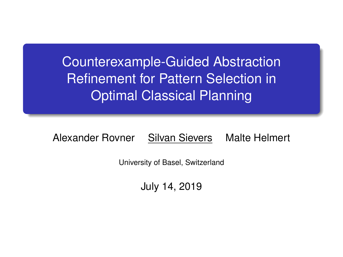Counterexample-Guided Abstraction Refinement for Pattern Selection in Optimal Classical Planning

Alexander Rovner Silvan Sievers Malte Helmert

University of Basel, Switzerland

July 14, 2019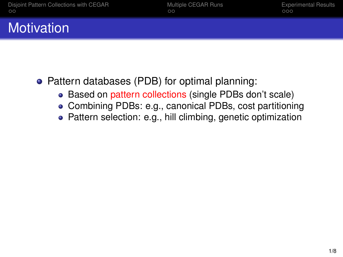# **Motivation**

- Pattern databases (PDB) for optimal planning:
	- Based on pattern collections (single PDBs don't scale)
	- Combining PDBs: e.g., canonical PDBs, cost partitioning
	- Pattern selection: e.g., hill climbing, genetic optimization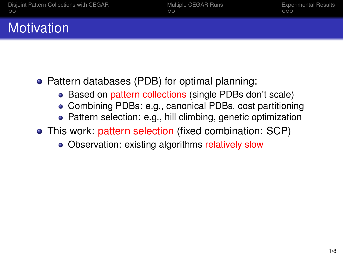# **Motivation**

- Pattern databases (PDB) for optimal planning:
	- Based on pattern collections (single PDBs don't scale)
	- Combining PDBs: e.g., canonical PDBs, cost partitioning
	- Pattern selection: e.g., hill climbing, genetic optimization
- This work: pattern selection (fixed combination: SCP)
	- Observation: existing algorithms relatively slow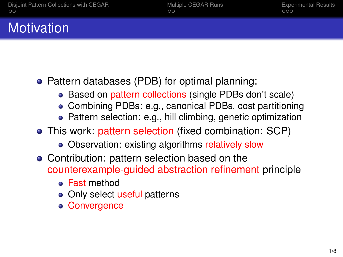# **Motivation**

- Pattern databases (PDB) for optimal planning:
	- Based on pattern collections (single PDBs don't scale)
	- Combining PDBs: e.g., canonical PDBs, cost partitioning
	- Pattern selection: e.g., hill climbing, genetic optimization
- This work: pattern selection (fixed combination: SCP)
	- Observation: existing algorithms relatively slow
- Contribution: pattern selection based on the counterexample-guided abstraction refinement principle
	- Fast method
	- Only select useful patterns
	- Convergence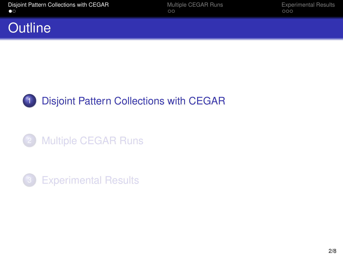#### <span id="page-4-0"></span>**Outline**





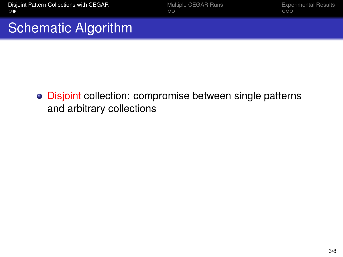[Disjoint Pattern Collections with CEGAR](#page-4-0) **[Multiple CEGAR Runs](#page-10-0)** [Experimental Results](#page-13-0)<br>
oo

### Schematic Algorithm

**.** Disjoint collection: compromise between single patterns and arbitrary collections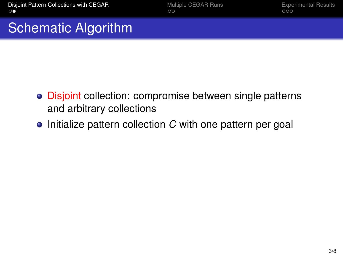- Disjoint collection: compromise between single patterns and arbitrary collections
- **•** Initialize pattern collection *C* with one pattern per goal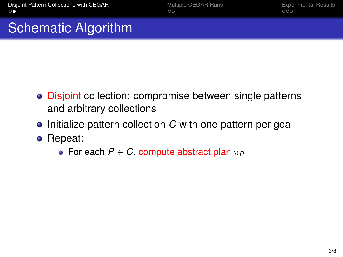- Disjoint collection: compromise between single patterns and arbitrary collections
- **•** Initialize pattern collection *C* with one pattern per goal
- Repeat:
	- For each  $P \in C$ , compute abstract plan  $\pi_P$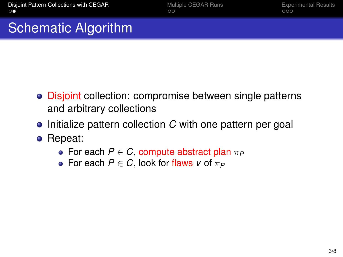- Disjoint collection: compromise between single patterns and arbitrary collections
- **•** Initialize pattern collection *C* with one pattern per goal
- Repeat:
	- For each  $P \in C$ , compute abstract plan  $\pi_P$
	- For each  $P \in C$ , look for flaws *v* of  $\pi_P$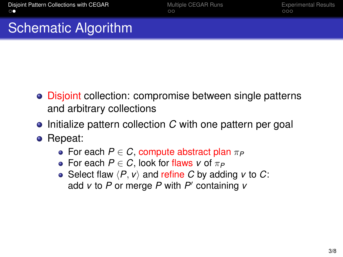- Disjoint collection: compromise between single patterns and arbitrary collections
- **•** Initialize pattern collection *C* with one pattern per goal
- Repeat:
	- For each  $P \in C$ , compute abstract plan  $\pi_P$
	- For each  $P \in C$ , look for flaws *v* of  $\pi_P$
	- Select flaw  $\langle P, v \rangle$  and refine *C* by adding *v* to *C*: add *v* to *P* or merge *P* with *P'* containing *v*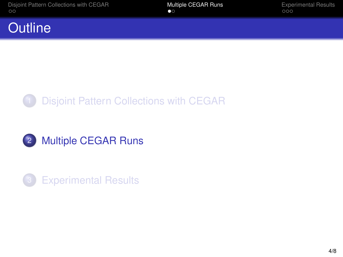### <span id="page-10-0"></span>**Outline**





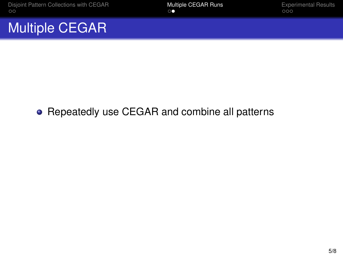[Disjoint Pattern Collections with CEGAR](#page-4-0) **[Multiple CEGAR Runs](#page-10-0)** [Experimental Results](#page-13-0)<br>  $\begin{array}{ccc}\n\bullet & \bullet & \bullet \\
\hline\n\end{array}$ 

### Multiple CEGAR

#### Repeatedly use CEGAR and combine all patterns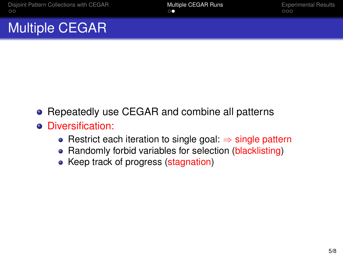### Multiple CEGAR

- **•** Repeatedly use CEGAR and combine all patterns
- **•** Diversification:
	- Restrict each iteration to single goal: ⇒ single pattern
	- Randomly forbid variables for selection (blacklisting)
	- Keep track of progress (stagnation)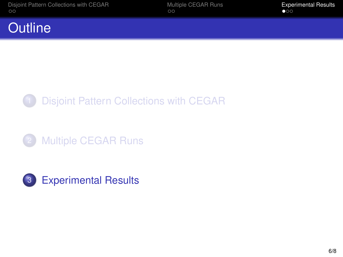### <span id="page-13-0"></span>**Outline**





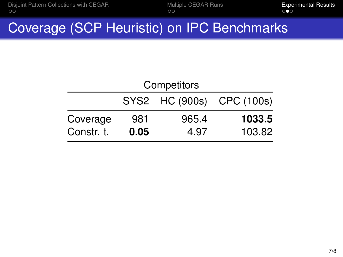### Coverage (SCP Heuristic) on IPC Benchmarks

| Competitors |      |       |                           |  |
|-------------|------|-------|---------------------------|--|
|             |      |       | SYS2 HC (900s) CPC (100s) |  |
| Coverage    | 981  | 965.4 | 1033.5                    |  |
| Constr. t.  | 0.05 | 4.97  | 103.82                    |  |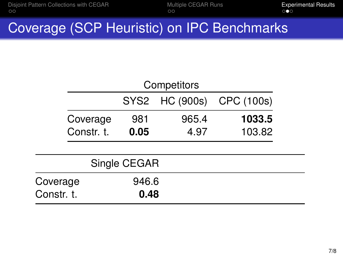## Coverage (SCP Heuristic) on IPC Benchmarks

|              | Competitors                  |       |       |        |  |  |
|--------------|------------------------------|-------|-------|--------|--|--|
|              | SYS2 HC (900s)<br>CPC (100s) |       |       |        |  |  |
| Coverage     |                              | 981   | 965.4 | 1033.5 |  |  |
| Constr. t.   |                              | 0.05  | 4.97  | 103.82 |  |  |
|              |                              |       |       |        |  |  |
| Single CEGAR |                              |       |       |        |  |  |
| Coverage     |                              | 946.6 |       |        |  |  |
| Constr. t.   |                              | 0.48  |       |        |  |  |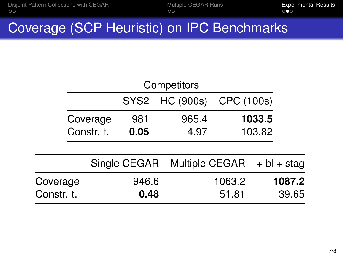# Coverage (SCP Heuristic) on IPC Benchmarks

| Competitors |            |              |                |                |               |
|-------------|------------|--------------|----------------|----------------|---------------|
|             |            |              | SYS2 HC (900s) | CPC (100s)     |               |
|             | Coverage   | 981          | 965.4          |                | 1033.5        |
|             | Constr. t. | 0.05         | 4.97           |                | 103.82        |
|             |            |              |                |                |               |
|             |            | Single CEGAR |                | Multiple CEGAR | $+ bl + stag$ |
| Coverage    |            | 946.6        |                | 1063.2         | 1087.2        |
| Constr. t.  |            | 0.48         |                | 51.81          | 39.65         |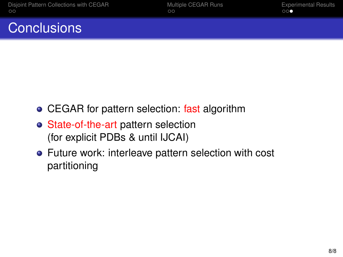### **Conclusions**

- CEGAR for pattern selection: fast algorithm
- State-of-the-art pattern selection (for explicit PDBs & until IJCAI)
- Future work: interleave pattern selection with cost partitioning